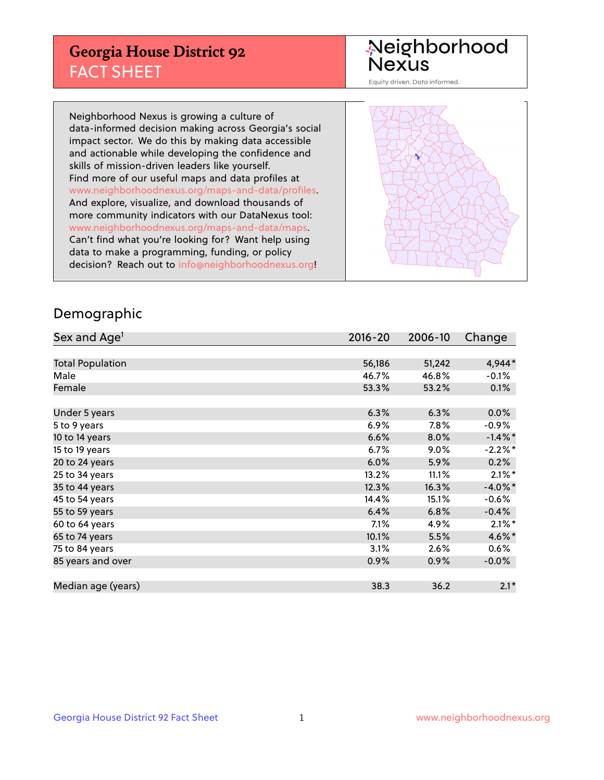## **Georgia House District 92** FACT SHEET

# Neighborhood<br>Nexus

Equity driven. Data informed.

Neighborhood Nexus is growing a culture of data-informed decision making across Georgia's social impact sector. We do this by making data accessible and actionable while developing the confidence and skills of mission-driven leaders like yourself. Find more of our useful maps and data profiles at www.neighborhoodnexus.org/maps-and-data/profiles. And explore, visualize, and download thousands of more community indicators with our DataNexus tool: www.neighborhoodnexus.org/maps-and-data/maps. Can't find what you're looking for? Want help using data to make a programming, funding, or policy decision? Reach out to [info@neighborhoodnexus.org!](mailto:info@neighborhoodnexus.org)



### Demographic

| Sex and Age <sup>1</sup> | $2016 - 20$ | 2006-10 | Change               |
|--------------------------|-------------|---------|----------------------|
|                          |             |         |                      |
| <b>Total Population</b>  | 56,186      | 51,242  | 4,944*               |
| Male                     | 46.7%       | 46.8%   | $-0.1%$              |
| Female                   | 53.3%       | 53.2%   | 0.1%                 |
|                          |             |         |                      |
| Under 5 years            | 6.3%        | 6.3%    | 0.0%                 |
| 5 to 9 years             | 6.9%        | 7.8%    | $-0.9\%$             |
| 10 to 14 years           | 6.6%        | 8.0%    | $-1.4\%$ *           |
| 15 to 19 years           | 6.7%        | $9.0\%$ | $-2.2%$ *            |
| 20 to 24 years           | 6.0%        | 5.9%    | 0.2%                 |
| 25 to 34 years           | 13.2%       | 11.1%   | $2.1\%$ <sup>*</sup> |
| 35 to 44 years           | 12.3%       | 16.3%   | $-4.0\%$ *           |
| 45 to 54 years           | 14.4%       | 15.1%   | $-0.6%$              |
| 55 to 59 years           | 6.4%        | 6.8%    | $-0.4%$              |
| 60 to 64 years           | 7.1%        | 4.9%    | $2.1\%$ *            |
| 65 to 74 years           | 10.1%       | 5.5%    | 4.6%*                |
| 75 to 84 years           | 3.1%        | 2.6%    | $0.6\%$              |
| 85 years and over        | 0.9%        | 0.9%    | $-0.0\%$             |
|                          |             |         |                      |
| Median age (years)       | 38.3        | 36.2    | $2.1*$               |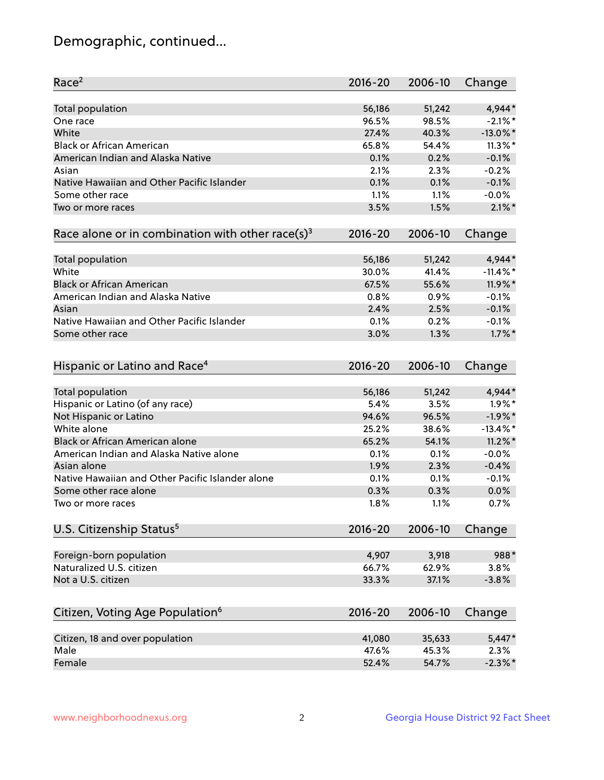## Demographic, continued...

| Race <sup>2</sup>                                            | $2016 - 20$ | 2006-10 | Change      |
|--------------------------------------------------------------|-------------|---------|-------------|
| <b>Total population</b>                                      | 56,186      | 51,242  | 4,944*      |
| One race                                                     | 96.5%       | 98.5%   | $-2.1\%$ *  |
| White                                                        | 27.4%       | 40.3%   | $-13.0\%$ * |
| <b>Black or African American</b>                             | 65.8%       | 54.4%   | $11.3\%$ *  |
| American Indian and Alaska Native                            | 0.1%        | 0.2%    | $-0.1%$     |
| Asian                                                        | 2.1%        | 2.3%    | $-0.2%$     |
| Native Hawaiian and Other Pacific Islander                   | 0.1%        | 0.1%    | $-0.1%$     |
| Some other race                                              | 1.1%        | 1.1%    | $-0.0%$     |
| Two or more races                                            | 3.5%        | 1.5%    | $2.1\%$ *   |
| Race alone or in combination with other race(s) <sup>3</sup> | $2016 - 20$ | 2006-10 | Change      |
| Total population                                             | 56,186      | 51,242  | 4,944*      |
| White                                                        | 30.0%       | 41.4%   | $-11.4\%$ * |
| <b>Black or African American</b>                             | 67.5%       | 55.6%   | 11.9%*      |
| American Indian and Alaska Native                            | 0.8%        | 0.9%    | $-0.1%$     |
| Asian                                                        | 2.4%        | 2.5%    | $-0.1%$     |
| Native Hawaiian and Other Pacific Islander                   | 0.1%        | 0.2%    | $-0.1%$     |
| Some other race                                              | 3.0%        | 1.3%    | $1.7\%$ *   |
| Hispanic or Latino and Race <sup>4</sup>                     | $2016 - 20$ | 2006-10 | Change      |
|                                                              |             |         |             |
| <b>Total population</b>                                      | 56,186      | 51,242  | 4,944*      |
| Hispanic or Latino (of any race)                             | 5.4%        | 3.5%    | $1.9\%$ *   |
| Not Hispanic or Latino                                       | 94.6%       | 96.5%   | $-1.9%$ *   |
| White alone                                                  | 25.2%       | 38.6%   | $-13.4\%$ * |
| Black or African American alone                              | 65.2%       | 54.1%   | $11.2\%$ *  |
| American Indian and Alaska Native alone                      | 0.1%        | 0.1%    | $-0.0%$     |
| Asian alone                                                  | 1.9%        | 2.3%    | $-0.4%$     |
| Native Hawaiian and Other Pacific Islander alone             | 0.1%        | 0.1%    | $-0.1%$     |
| Some other race alone                                        | 0.3%        | 0.3%    | 0.0%        |
| Two or more races                                            | 1.8%        | 1.1%    | 0.7%        |
| U.S. Citizenship Status <sup>5</sup>                         | $2016 - 20$ | 2006-10 | Change      |
| Foreign-born population                                      | 4,907       | 3,918   | 988*        |
| Naturalized U.S. citizen                                     | 66.7%       | 62.9%   | 3.8%        |
| Not a U.S. citizen                                           | 33.3%       | 37.1%   | $-3.8%$     |
| Citizen, Voting Age Population <sup>6</sup>                  | 2016-20     | 2006-10 | Change      |
|                                                              |             |         |             |
| Citizen, 18 and over population                              | 41,080      | 35,633  | $5,447*$    |
| Male                                                         | 47.6%       | 45.3%   | 2.3%        |
| Female                                                       | 52.4%       | 54.7%   | $-2.3\%$ *  |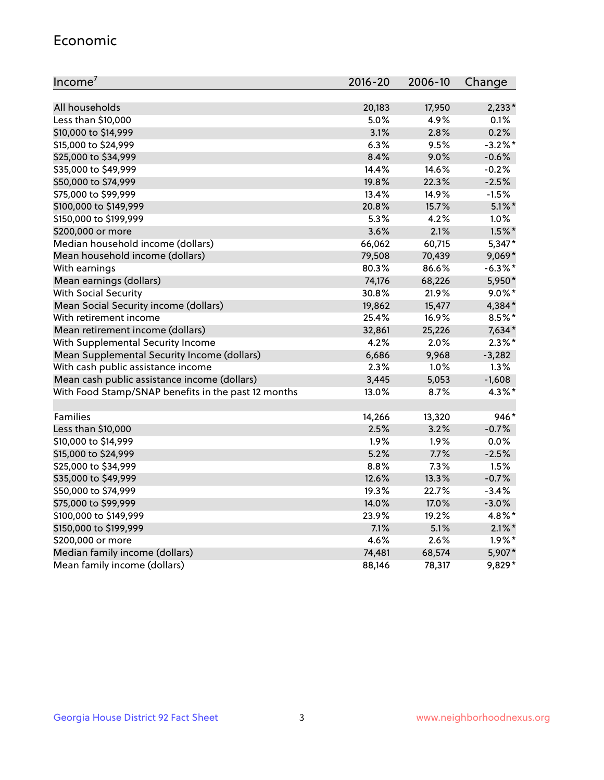#### Economic

| Income <sup>7</sup>                                 | $2016 - 20$ | 2006-10 | Change     |
|-----------------------------------------------------|-------------|---------|------------|
|                                                     |             |         |            |
| All households                                      | 20,183      | 17,950  | $2,233*$   |
| Less than \$10,000                                  | 5.0%        | 4.9%    | 0.1%       |
| \$10,000 to \$14,999                                | 3.1%        | 2.8%    | 0.2%       |
| \$15,000 to \$24,999                                | 6.3%        | 9.5%    | $-3.2%$ *  |
| \$25,000 to \$34,999                                | 8.4%        | 9.0%    | $-0.6%$    |
| \$35,000 to \$49,999                                | 14.4%       | 14.6%   | $-0.2%$    |
| \$50,000 to \$74,999                                | 19.8%       | 22.3%   | $-2.5%$    |
| \$75,000 to \$99,999                                | 13.4%       | 14.9%   | $-1.5%$    |
| \$100,000 to \$149,999                              | 20.8%       | 15.7%   | $5.1\%$ *  |
| \$150,000 to \$199,999                              | 5.3%        | 4.2%    | 1.0%       |
| \$200,000 or more                                   | 3.6%        | 2.1%    | $1.5\%$ *  |
| Median household income (dollars)                   | 66,062      | 60,715  | 5,347*     |
| Mean household income (dollars)                     | 79,508      | 70,439  | $9,069*$   |
| With earnings                                       | 80.3%       | 86.6%   | $-6.3\%$ * |
| Mean earnings (dollars)                             | 74,176      | 68,226  | 5,950*     |
| <b>With Social Security</b>                         | 30.8%       | 21.9%   | $9.0\%$ *  |
| Mean Social Security income (dollars)               | 19,862      | 15,477  | 4,384*     |
| With retirement income                              | 25.4%       | 16.9%   | 8.5%*      |
| Mean retirement income (dollars)                    | 32,861      | 25,226  | 7,634*     |
| With Supplemental Security Income                   | 4.2%        | 2.0%    | $2.3\%$ *  |
| Mean Supplemental Security Income (dollars)         | 6,686       | 9,968   | $-3,282$   |
| With cash public assistance income                  | 2.3%        | $1.0\%$ | 1.3%       |
| Mean cash public assistance income (dollars)        | 3,445       | 5,053   | $-1,608$   |
| With Food Stamp/SNAP benefits in the past 12 months | 13.0%       | 8.7%    | 4.3%*      |
|                                                     |             |         |            |
| Families                                            | 14,266      | 13,320  | 946*       |
| Less than \$10,000                                  | 2.5%        | 3.2%    | $-0.7%$    |
| \$10,000 to \$14,999                                | 1.9%        | 1.9%    | 0.0%       |
| \$15,000 to \$24,999                                | 5.2%        | 7.7%    | $-2.5%$    |
| \$25,000 to \$34,999                                | 8.8%        | 7.3%    | 1.5%       |
| \$35,000 to \$49,999                                | 12.6%       | 13.3%   | $-0.7%$    |
| \$50,000 to \$74,999                                | 19.3%       | 22.7%   | $-3.4%$    |
| \$75,000 to \$99,999                                | 14.0%       | 17.0%   | $-3.0%$    |
| \$100,000 to \$149,999                              | 23.9%       | 19.2%   | 4.8%*      |
| \$150,000 to \$199,999                              | 7.1%        | 5.1%    | $2.1\%$ *  |
| \$200,000 or more                                   | 4.6%        | 2.6%    | $1.9\%$ *  |
| Median family income (dollars)                      | 74,481      | 68,574  | 5,907*     |
| Mean family income (dollars)                        | 88,146      | 78,317  | 9,829*     |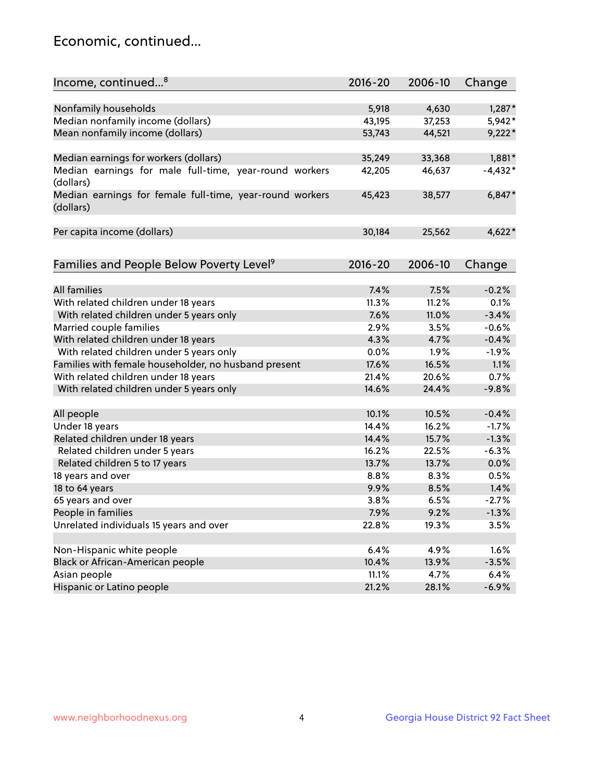## Economic, continued...

| Income, continued <sup>8</sup>                           | 2016-20     | 2006-10 | Change    |
|----------------------------------------------------------|-------------|---------|-----------|
|                                                          |             |         |           |
| Nonfamily households                                     | 5,918       | 4,630   | $1,287*$  |
| Median nonfamily income (dollars)                        | 43,195      | 37,253  | 5,942*    |
| Mean nonfamily income (dollars)                          | 53,743      | 44,521  | $9,222*$  |
|                                                          |             |         |           |
| Median earnings for workers (dollars)                    | 35,249      | 33,368  | $1,881*$  |
| Median earnings for male full-time, year-round workers   | 42,205      | 46,637  | $-4,432*$ |
| (dollars)                                                |             |         |           |
| Median earnings for female full-time, year-round workers | 45,423      | 38,577  | $6,847*$  |
| (dollars)                                                |             |         |           |
|                                                          |             |         |           |
| Per capita income (dollars)                              | 30,184      | 25,562  | $4,622*$  |
|                                                          |             |         |           |
|                                                          |             |         |           |
| Families and People Below Poverty Level <sup>9</sup>     | $2016 - 20$ | 2006-10 | Change    |
|                                                          |             |         |           |
| <b>All families</b>                                      | 7.4%        | 7.5%    | $-0.2%$   |
| With related children under 18 years                     | 11.3%       | 11.2%   | 0.1%      |
| With related children under 5 years only                 | 7.6%        | 11.0%   | $-3.4%$   |
| Married couple families                                  | 2.9%        | 3.5%    | $-0.6%$   |
| With related children under 18 years                     | 4.3%        | 4.7%    | $-0.4%$   |
| With related children under 5 years only                 | 0.0%        | 1.9%    | $-1.9%$   |
| Families with female householder, no husband present     | 17.6%       | 16.5%   | 1.1%      |
| With related children under 18 years                     | 21.4%       | 20.6%   | 0.7%      |
| With related children under 5 years only                 | 14.6%       | 24.4%   | $-9.8%$   |
|                                                          |             |         |           |
| All people                                               | 10.1%       | 10.5%   | $-0.4%$   |
| Under 18 years                                           | 14.4%       | 16.2%   | $-1.7%$   |
| Related children under 18 years                          | 14.4%       | 15.7%   | $-1.3%$   |
| Related children under 5 years                           | 16.2%       | 22.5%   | $-6.3%$   |
| Related children 5 to 17 years                           | 13.7%       | 13.7%   | 0.0%      |
| 18 years and over                                        | 8.8%        | 8.3%    | 0.5%      |
| 18 to 64 years                                           | 9.9%        | 8.5%    | 1.4%      |
| 65 years and over                                        | 3.8%        | 6.5%    | $-2.7%$   |
| People in families                                       | 7.9%        | 9.2%    | $-1.3%$   |
| Unrelated individuals 15 years and over                  | 22.8%       | 19.3%   | 3.5%      |
|                                                          |             |         |           |
| Non-Hispanic white people                                | 6.4%        | 4.9%    | 1.6%      |
| Black or African-American people                         | 10.4%       | 13.9%   | $-3.5%$   |
| Asian people                                             | 11.1%       | 4.7%    | 6.4%      |
| Hispanic or Latino people                                | 21.2%       | 28.1%   | $-6.9%$   |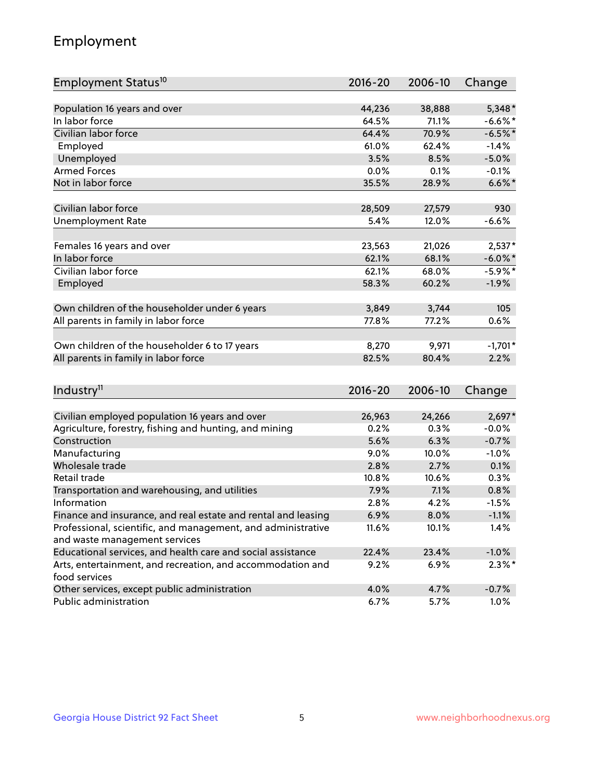## Employment

| Employment Status <sup>10</sup>                                             | $2016 - 20$ | 2006-10 | Change     |
|-----------------------------------------------------------------------------|-------------|---------|------------|
|                                                                             |             |         |            |
| Population 16 years and over                                                | 44,236      | 38,888  | $5,348*$   |
| In labor force                                                              | 64.5%       | 71.1%   | $-6.6%$    |
| Civilian labor force                                                        | 64.4%       | 70.9%   | $-6.5%$ *  |
| Employed                                                                    | 61.0%       | 62.4%   | $-1.4%$    |
| Unemployed                                                                  | 3.5%        | 8.5%    | $-5.0%$    |
| <b>Armed Forces</b>                                                         | 0.0%        | 0.1%    | $-0.1%$    |
| Not in labor force                                                          | 35.5%       | 28.9%   | $6.6\%$ *  |
| Civilian labor force                                                        | 28,509      | 27,579  | 930        |
| <b>Unemployment Rate</b>                                                    | 5.4%        | 12.0%   | $-6.6%$    |
|                                                                             |             |         |            |
| Females 16 years and over                                                   | 23,563      | 21,026  | $2,537*$   |
| In labor force                                                              | 62.1%       | 68.1%   | $-6.0\%$ * |
| Civilian labor force                                                        | 62.1%       | 68.0%   | $-5.9\%$ * |
| Employed                                                                    | 58.3%       | 60.2%   | $-1.9%$    |
|                                                                             | 3,849       | 3,744   | 105        |
| Own children of the householder under 6 years                               |             |         | 0.6%       |
| All parents in family in labor force                                        | 77.8%       | 77.2%   |            |
| Own children of the householder 6 to 17 years                               | 8,270       | 9,971   | $-1,701*$  |
| All parents in family in labor force                                        | 82.5%       | 80.4%   | 2.2%       |
|                                                                             |             |         |            |
| Industry <sup>11</sup>                                                      | $2016 - 20$ | 2006-10 | Change     |
|                                                                             |             |         |            |
| Civilian employed population 16 years and over                              | 26,963      | 24,266  | $2,697*$   |
| Agriculture, forestry, fishing and hunting, and mining                      | 0.2%        | 0.3%    | $-0.0%$    |
| Construction                                                                | 5.6%        | 6.3%    | $-0.7%$    |
| Manufacturing                                                               | 9.0%        | 10.0%   | $-1.0%$    |
| Wholesale trade                                                             | 2.8%        | 2.7%    | 0.1%       |
| Retail trade                                                                | 10.8%       | 10.6%   | 0.3%       |
| Transportation and warehousing, and utilities                               | 7.9%        | 7.1%    | 0.8%       |
| Information                                                                 | 2.8%        | 4.2%    | $-1.5%$    |
| Finance and insurance, and real estate and rental and leasing               | 6.9%        | 8.0%    | $-1.1%$    |
| Professional, scientific, and management, and administrative                | 11.6%       | 10.1%   | 1.4%       |
| and waste management services                                               |             |         |            |
| Educational services, and health care and social assistance                 | 22.4%       | 23.4%   | $-1.0\%$   |
| Arts, entertainment, and recreation, and accommodation and<br>food services | $9.2\%$     | 6.9%    | $2.3\%$ *  |
| Other services, except public administration                                | 4.0%        | 4.7%    | $-0.7%$    |
| Public administration                                                       | 6.7%        | 5.7%    | 1.0%       |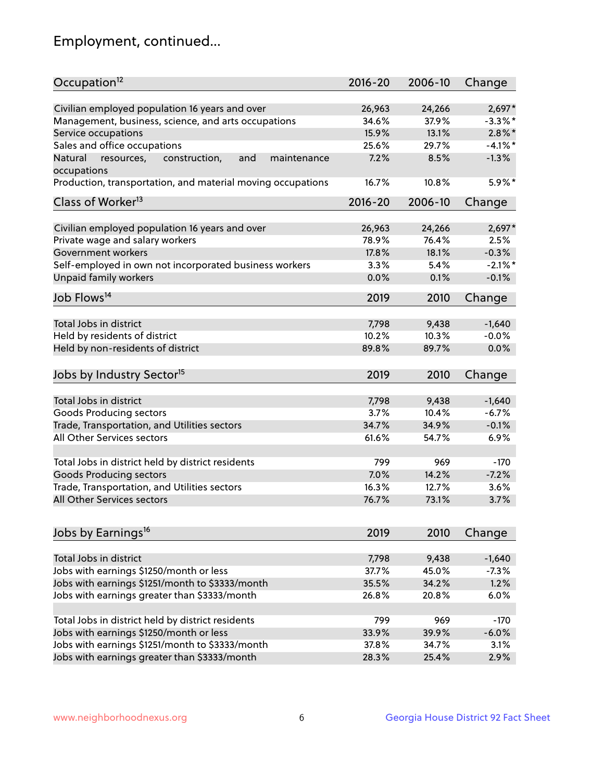## Employment, continued...

| Occupation <sup>12</sup>                                     | $2016 - 20$ | 2006-10 | Change     |
|--------------------------------------------------------------|-------------|---------|------------|
| Civilian employed population 16 years and over               | 26,963      | 24,266  | $2,697*$   |
| Management, business, science, and arts occupations          | 34.6%       | 37.9%   | $-3.3\%$ * |
| Service occupations                                          | 15.9%       | 13.1%   | $2.8\%$ *  |
| Sales and office occupations                                 | 25.6%       | 29.7%   | $-4.1\%$ * |
| and<br>Natural<br>resources,<br>construction,<br>maintenance | 7.2%        | 8.5%    | $-1.3%$    |
| occupations                                                  |             |         |            |
| Production, transportation, and material moving occupations  | 16.7%       | 10.8%   | 5.9%*      |
| Class of Worker <sup>13</sup>                                | $2016 - 20$ | 2006-10 | Change     |
|                                                              |             |         |            |
| Civilian employed population 16 years and over               | 26,963      | 24,266  | $2,697*$   |
| Private wage and salary workers                              | 78.9%       | 76.4%   | 2.5%       |
| Government workers                                           | 17.8%       | 18.1%   | $-0.3%$    |
| Self-employed in own not incorporated business workers       | 3.3%        | 5.4%    | $-2.1\%$ * |
| Unpaid family workers                                        | 0.0%        | 0.1%    | $-0.1%$    |
| Job Flows <sup>14</sup>                                      | 2019        | 2010    | Change     |
|                                                              |             |         |            |
| Total Jobs in district                                       | 7,798       | 9,438   | $-1,640$   |
| Held by residents of district                                | 10.2%       | 10.3%   | $-0.0%$    |
| Held by non-residents of district                            | 89.8%       | 89.7%   | 0.0%       |
| Jobs by Industry Sector <sup>15</sup>                        | 2019        | 2010    | Change     |
|                                                              |             |         |            |
| Total Jobs in district                                       | 7,798       | 9,438   | $-1,640$   |
| Goods Producing sectors                                      | 3.7%        | 10.4%   | $-6.7%$    |
| Trade, Transportation, and Utilities sectors                 | 34.7%       | 34.9%   | $-0.1%$    |
| All Other Services sectors                                   | 61.6%       | 54.7%   | 6.9%       |
| Total Jobs in district held by district residents            | 799         | 969     | $-170$     |
| <b>Goods Producing sectors</b>                               | 7.0%        | 14.2%   | $-7.2%$    |
| Trade, Transportation, and Utilities sectors                 | 16.3%       | 12.7%   | 3.6%       |
| All Other Services sectors                                   | 76.7%       | 73.1%   |            |
|                                                              |             |         | 3.7%       |
| Jobs by Earnings <sup>16</sup>                               | 2019        | 2010    | Change     |
|                                                              |             |         |            |
| Total Jobs in district                                       | 7,798       | 9,438   | $-1,640$   |
| Jobs with earnings \$1250/month or less                      | 37.7%       | 45.0%   | $-7.3%$    |
| Jobs with earnings \$1251/month to \$3333/month              | 35.5%       | 34.2%   | 1.2%       |
| Jobs with earnings greater than \$3333/month                 | 26.8%       | 20.8%   | 6.0%       |
| Total Jobs in district held by district residents            | 799         | 969     | $-170$     |
| Jobs with earnings \$1250/month or less                      | 33.9%       |         | $-6.0%$    |
|                                                              |             | 39.9%   |            |
| Jobs with earnings \$1251/month to \$3333/month              | 37.8%       | 34.7%   | 3.1%       |
| Jobs with earnings greater than \$3333/month                 | 28.3%       | 25.4%   | 2.9%       |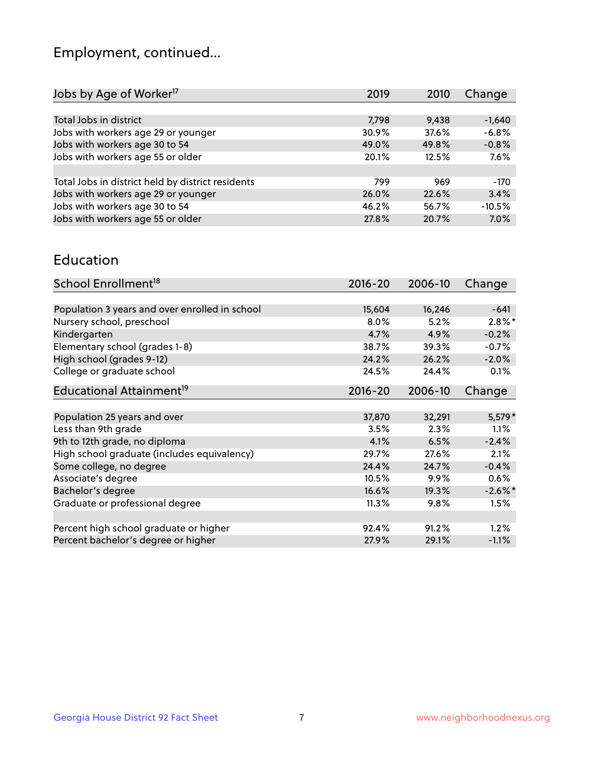## Employment, continued...

| 2019  | 2010  | Change   |
|-------|-------|----------|
|       |       |          |
| 7,798 | 9,438 | $-1,640$ |
| 30.9% | 37.6% | $-6.8%$  |
| 49.0% | 49.8% | $-0.8%$  |
| 20.1% | 12.5% | 7.6%     |
|       |       |          |
| 799   | 969   | $-170$   |
| 26.0% | 22.6% | 3.4%     |
| 46.2% | 56.7% | $-10.5%$ |
| 27.8% | 20.7% | 7.0%     |
|       |       |          |

#### Education

| School Enrollment <sup>18</sup>                | $2016 - 20$ | 2006-10 | Change     |
|------------------------------------------------|-------------|---------|------------|
|                                                |             |         |            |
| Population 3 years and over enrolled in school | 15,604      | 16,246  | $-641$     |
| Nursery school, preschool                      | $8.0\%$     | 5.2%    | $2.8\%$ *  |
| Kindergarten                                   | 4.7%        | 4.9%    | $-0.2%$    |
| Elementary school (grades 1-8)                 | 38.7%       | 39.3%   | $-0.7%$    |
| High school (grades 9-12)                      | 24.2%       | 26.2%   | $-2.0%$    |
| College or graduate school                     | 24.5%       | 24.4%   | 0.1%       |
| Educational Attainment <sup>19</sup>           | $2016 - 20$ | 2006-10 | Change     |
|                                                |             |         |            |
| Population 25 years and over                   | 37,870      | 32,291  | $5,579*$   |
| Less than 9th grade                            | 3.5%        | 2.3%    | 1.1%       |
| 9th to 12th grade, no diploma                  | 4.1%        | 6.5%    | $-2.4%$    |
| High school graduate (includes equivalency)    | 29.7%       | 27.6%   | 2.1%       |
| Some college, no degree                        | 24.4%       | 24.7%   | $-0.4%$    |
| Associate's degree                             | 10.5%       | 9.9%    | 0.6%       |
| Bachelor's degree                              | 16.6%       | 19.3%   | $-2.6\%$ * |
| Graduate or professional degree                | 11.3%       | $9.8\%$ | 1.5%       |
|                                                |             |         |            |
| Percent high school graduate or higher         | 92.4%       | 91.2%   | 1.2%       |
| Percent bachelor's degree or higher            | 27.9%       | 29.1%   | $-1.1%$    |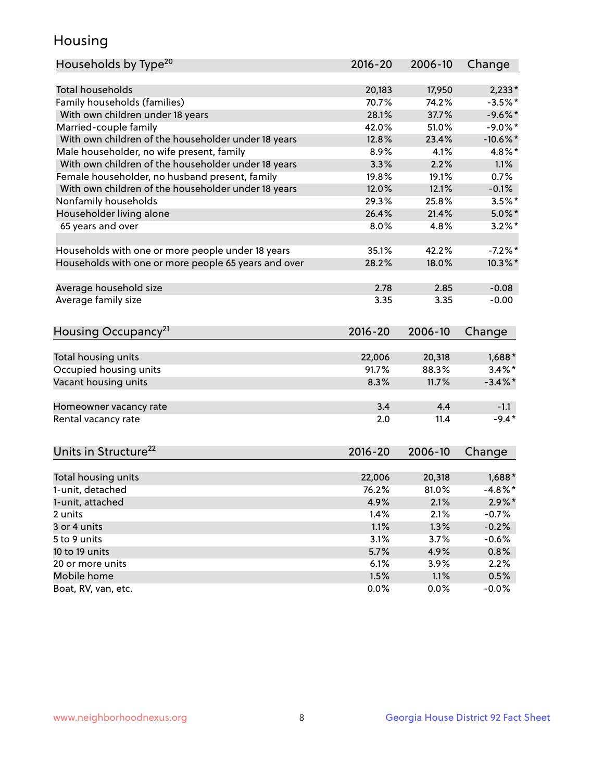## Housing

| Households by Type <sup>20</sup>                     | 2016-20 | 2006-10 | Change     |
|------------------------------------------------------|---------|---------|------------|
|                                                      |         |         |            |
| <b>Total households</b>                              | 20,183  | 17,950  | $2,233*$   |
| Family households (families)                         | 70.7%   | 74.2%   | $-3.5%$ *  |
| With own children under 18 years                     | 28.1%   | 37.7%   | $-9.6%$ *  |
| Married-couple family                                | 42.0%   | 51.0%   | $-9.0\%$ * |
| With own children of the householder under 18 years  | 12.8%   | 23.4%   | $-10.6%$ * |
| Male householder, no wife present, family            | 8.9%    | 4.1%    | $4.8\%$ *  |
| With own children of the householder under 18 years  | 3.3%    | 2.2%    | 1.1%       |
| Female householder, no husband present, family       | 19.8%   | 19.1%   | 0.7%       |
| With own children of the householder under 18 years  | 12.0%   | 12.1%   | $-0.1%$    |
| Nonfamily households                                 | 29.3%   | 25.8%   | $3.5%$ *   |
| Householder living alone                             | 26.4%   | 21.4%   | $5.0\%$ *  |
| 65 years and over                                    | 8.0%    | 4.8%    | $3.2\%$ *  |
|                                                      |         |         |            |
| Households with one or more people under 18 years    | 35.1%   | 42.2%   | $-7.2%$    |
| Households with one or more people 65 years and over | 28.2%   | 18.0%   | $10.3\%$ * |
|                                                      |         |         |            |
| Average household size                               | 2.78    | 2.85    | $-0.08$    |
| Average family size                                  | 3.35    | 3.35    | $-0.00$    |
|                                                      |         |         |            |
| Housing Occupancy <sup>21</sup>                      | 2016-20 | 2006-10 | Change     |
|                                                      |         |         |            |
| Total housing units                                  | 22,006  | 20,318  | $1,688*$   |
| Occupied housing units                               | 91.7%   | 88.3%   | $3.4\%$ *  |
| Vacant housing units                                 | 8.3%    | 11.7%   | $-3.4\%$ * |
|                                                      |         |         |            |
| Homeowner vacancy rate                               | 3.4     | 4.4     | $-1.1$     |
| Rental vacancy rate                                  | 2.0     | 11.4    | $-9.4*$    |
|                                                      |         |         |            |
| Units in Structure <sup>22</sup>                     | 2016-20 | 2006-10 |            |
|                                                      |         |         | Change     |
| Total housing units                                  | 22,006  | 20,318  | $1,688*$   |
| 1-unit, detached                                     | 76.2%   | 81.0%   | $-4.8\%$ * |
| 1-unit, attached                                     | 4.9%    | 2.1%    | $2.9\%*$   |
| 2 units                                              | 1.4%    | 2.1%    | $-0.7%$    |
| 3 or 4 units                                         | 1.1%    | 1.3%    | $-0.2%$    |
| 5 to 9 units                                         | 3.1%    | 3.7%    | $-0.6%$    |
| 10 to 19 units                                       | 5.7%    | 4.9%    | 0.8%       |
| 20 or more units                                     | 6.1%    | 3.9%    | 2.2%       |
| Mobile home                                          | 1.5%    | 1.1%    | 0.5%       |
| Boat, RV, van, etc.                                  | 0.0%    | 0.0%    | $-0.0%$    |
|                                                      |         |         |            |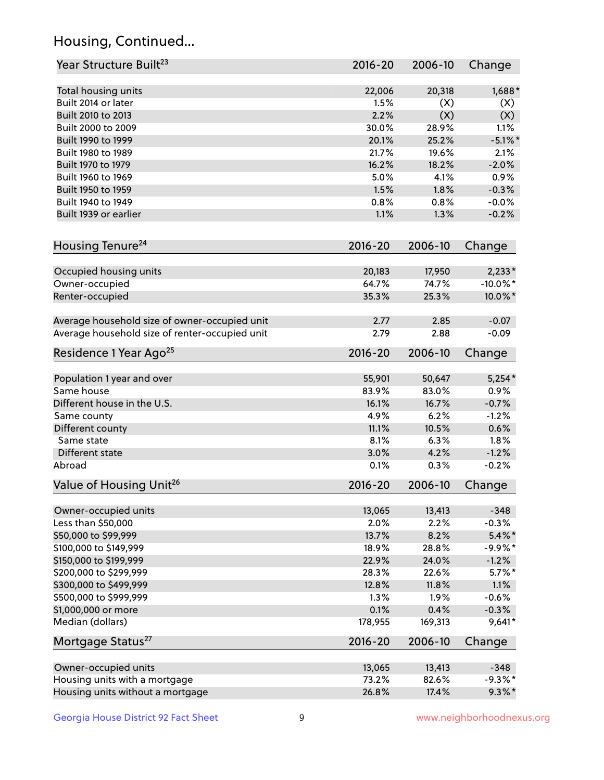## Housing, Continued...

| Year Structure Built <sup>23</sup>             | 2016-20     | 2006-10 | Change      |
|------------------------------------------------|-------------|---------|-------------|
| Total housing units                            | 22,006      | 20,318  | 1,688*      |
| Built 2014 or later                            | 1.5%        | (X)     | (X)         |
| Built 2010 to 2013                             | 2.2%        | (X)     | (X)         |
| Built 2000 to 2009                             | 30.0%       | 28.9%   | 1.1%        |
| Built 1990 to 1999                             | 20.1%       | 25.2%   | $-5.1\%$ *  |
| Built 1980 to 1989                             | 21.7%       | 19.6%   | 2.1%        |
| Built 1970 to 1979                             | 16.2%       | 18.2%   | $-2.0%$     |
| Built 1960 to 1969                             | 5.0%        | 4.1%    | 0.9%        |
| Built 1950 to 1959                             | 1.5%        | 1.8%    | $-0.3%$     |
| Built 1940 to 1949                             | 0.8%        | 0.8%    | $-0.0%$     |
| Built 1939 or earlier                          | 1.1%        | 1.3%    | $-0.2%$     |
| Housing Tenure <sup>24</sup>                   | 2016-20     | 2006-10 | Change      |
|                                                |             |         |             |
| Occupied housing units                         | 20,183      | 17,950  | $2,233*$    |
| Owner-occupied                                 | 64.7%       | 74.7%   | $-10.0\%$ * |
| Renter-occupied                                | 35.3%       | 25.3%   | 10.0%*      |
| Average household size of owner-occupied unit  | 2.77        | 2.85    | $-0.07$     |
| Average household size of renter-occupied unit | 2.79        | 2.88    | $-0.09$     |
| Residence 1 Year Ago <sup>25</sup>             | 2016-20     | 2006-10 | Change      |
| Population 1 year and over                     | 55,901      | 50,647  | $5,254*$    |
| Same house                                     | 83.9%       | 83.0%   | 0.9%        |
| Different house in the U.S.                    | 16.1%       | 16.7%   | $-0.7%$     |
| Same county                                    | 4.9%        | 6.2%    | $-1.2%$     |
| Different county                               | 11.1%       | 10.5%   | 0.6%        |
| Same state                                     | 8.1%        | 6.3%    | 1.8%        |
| Different state                                | 3.0%        | 4.2%    | $-1.2%$     |
| Abroad                                         | 0.1%        | 0.3%    | $-0.2%$     |
| Value of Housing Unit <sup>26</sup>            | $2016 - 20$ | 2006-10 | Change      |
|                                                |             |         |             |
| Owner-occupied units                           | 13,065      | 13,413  | $-348$      |
| Less than \$50,000                             | 2.0%        | 2.2%    | $-0.3%$     |
| \$50,000 to \$99,999                           | 13.7%       | 8.2%    | $5.4\%$ *   |
| \$100,000 to \$149,999                         | 18.9%       | 28.8%   | $-9.9%$ *   |
| \$150,000 to \$199,999                         | 22.9%       | 24.0%   | $-1.2%$     |
| \$200,000 to \$299,999                         | 28.3%       | 22.6%   | $5.7\%$ *   |
| \$300,000 to \$499,999                         | 12.8%       | 11.8%   | 1.1%        |
| \$500,000 to \$999,999                         | 1.3%        | 1.9%    | $-0.6%$     |
| \$1,000,000 or more                            | 0.1%        | 0.4%    | $-0.3%$     |
| Median (dollars)                               | 178,955     | 169,313 | $9,641*$    |
| Mortgage Status <sup>27</sup>                  | $2016 - 20$ | 2006-10 | Change      |
| Owner-occupied units                           | 13,065      | 13,413  | $-348$      |
| Housing units with a mortgage                  | 73.2%       | 82.6%   | $-9.3\%$ *  |
| Housing units without a mortgage               | 26.8%       | 17.4%   | $9.3\%$ *   |
|                                                |             |         |             |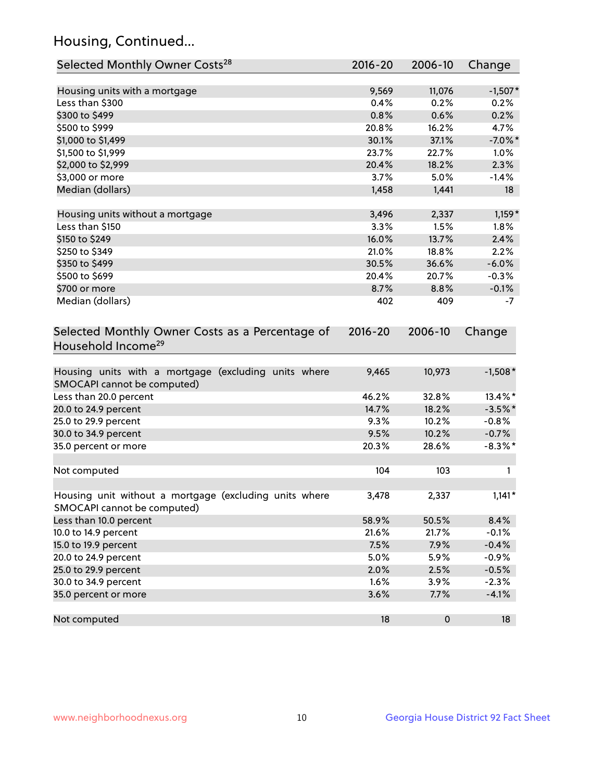## Housing, Continued...

| Selected Monthly Owner Costs <sup>28</sup>                                            | 2016-20     | 2006-10 | Change     |
|---------------------------------------------------------------------------------------|-------------|---------|------------|
| Housing units with a mortgage                                                         | 9,569       | 11,076  | $-1,507*$  |
| Less than \$300                                                                       | 0.4%        | 0.2%    | 0.2%       |
| \$300 to \$499                                                                        | 0.8%        | 0.6%    | 0.2%       |
| \$500 to \$999                                                                        | 20.8%       | 16.2%   | 4.7%       |
| \$1,000 to \$1,499                                                                    | 30.1%       | 37.1%   | $-7.0\%$ * |
| \$1,500 to \$1,999                                                                    | 23.7%       | 22.7%   | 1.0%       |
| \$2,000 to \$2,999                                                                    | 20.4%       | 18.2%   | 2.3%       |
| \$3,000 or more                                                                       | 3.7%        | 5.0%    | $-1.4%$    |
| Median (dollars)                                                                      | 1,458       | 1,441   | 18         |
| Housing units without a mortgage                                                      | 3,496       | 2,337   | $1,159*$   |
| Less than \$150                                                                       | 3.3%        | 1.5%    | 1.8%       |
| \$150 to \$249                                                                        | 16.0%       | 13.7%   | 2.4%       |
| \$250 to \$349                                                                        | 21.0%       | 18.8%   | 2.2%       |
| \$350 to \$499                                                                        | 30.5%       | 36.6%   | $-6.0%$    |
| \$500 to \$699                                                                        | 20.4%       | 20.7%   | $-0.3%$    |
| \$700 or more                                                                         | 8.7%        | 8.8%    | $-0.1%$    |
| Median (dollars)                                                                      | 402         | 409     | -7         |
| Selected Monthly Owner Costs as a Percentage of<br>Household Income <sup>29</sup>     | $2016 - 20$ | 2006-10 | Change     |
| Housing units with a mortgage (excluding units where<br>SMOCAPI cannot be computed)   | 9,465       | 10,973  | $-1,508*$  |
| Less than 20.0 percent                                                                | 46.2%       | 32.8%   | 13.4%*     |
| 20.0 to 24.9 percent                                                                  | 14.7%       | 18.2%   | $-3.5\%$ * |
| 25.0 to 29.9 percent                                                                  | 9.3%        | 10.2%   | $-0.8%$    |
| 30.0 to 34.9 percent                                                                  | 9.5%        | 10.2%   | $-0.7%$    |
| 35.0 percent or more                                                                  | 20.3%       | 28.6%   | $-8.3\%$ * |
| Not computed                                                                          | 104         | 103     | 1          |
| Housing unit without a mortgage (excluding units where<br>SMOCAPI cannot be computed) | 3,478       | 2,337   | $1,141*$   |
| Less than 10.0 percent                                                                | 58.9%       | 50.5%   | 8.4%       |
| 10.0 to 14.9 percent                                                                  | 21.6%       | 21.7%   | $-0.1%$    |
| 15.0 to 19.9 percent                                                                  | 7.5%        | 7.9%    | $-0.4%$    |
| 20.0 to 24.9 percent                                                                  | 5.0%        | 5.9%    | $-0.9%$    |
| 25.0 to 29.9 percent                                                                  | 2.0%        | 2.5%    | $-0.5%$    |
| 30.0 to 34.9 percent                                                                  | 1.6%        | 3.9%    | $-2.3%$    |
| 35.0 percent or more                                                                  | 3.6%        | 7.7%    | $-4.1%$    |
| Not computed                                                                          | 18          | 0       | 18         |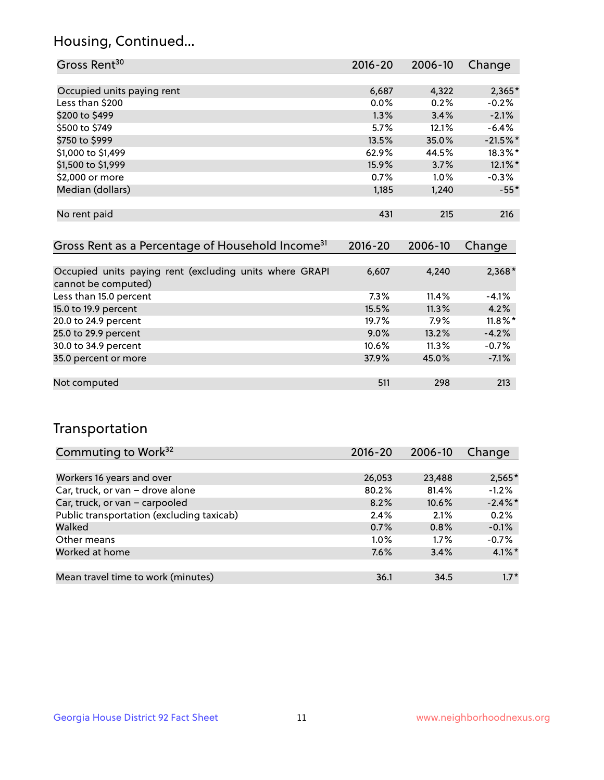## Housing, Continued...

| Gross Rent <sup>30</sup>   | 2016-20 | 2006-10 | Change     |
|----------------------------|---------|---------|------------|
|                            |         |         |            |
| Occupied units paying rent | 6,687   | 4,322   | 2,365*     |
| Less than \$200            | $0.0\%$ | 0.2%    | $-0.2%$    |
| \$200 to \$499             | 1.3%    | 3.4%    | $-2.1%$    |
| \$500 to \$749             | 5.7%    | 12.1%   | $-6.4%$    |
| \$750 to \$999             | 13.5%   | 35.0%   | $-21.5%$   |
| \$1,000 to \$1,499         | 62.9%   | 44.5%   | 18.3%*     |
| \$1,500 to \$1,999         | 15.9%   | 3.7%    | $12.1\%$ * |
| \$2,000 or more            | 0.7%    | 1.0%    | $-0.3%$    |
| Median (dollars)           | 1,185   | 1,240   | $-55*$     |
|                            |         |         |            |
| No rent paid               | 431     | 215     | 216        |
|                            |         |         |            |

| Gross Rent as a Percentage of Household Income <sup>31</sup>                   | $2016 - 20$ | 2006-10 | Change     |
|--------------------------------------------------------------------------------|-------------|---------|------------|
|                                                                                |             |         |            |
| Occupied units paying rent (excluding units where GRAPI<br>cannot be computed) | 6,607       | 4,240   | $2,368*$   |
| Less than 15.0 percent                                                         | $7.3\%$     | 11.4%   | $-4.1%$    |
| 15.0 to 19.9 percent                                                           | 15.5%       | 11.3%   | 4.2%       |
| 20.0 to 24.9 percent                                                           | 19.7%       | 7.9%    | $11.8\%$ * |
| 25.0 to 29.9 percent                                                           | $9.0\%$     | 13.2%   | $-4.2%$    |
| 30.0 to 34.9 percent                                                           | $10.6\%$    | 11.3%   | $-0.7%$    |
| 35.0 percent or more                                                           | 37.9%       | 45.0%   | $-7.1%$    |
|                                                                                |             |         |            |
| Not computed                                                                   | 511         | 298     | 213        |

## Transportation

| Commuting to Work <sup>32</sup>           | 2016-20 | 2006-10 | Change     |
|-------------------------------------------|---------|---------|------------|
|                                           |         |         |            |
| Workers 16 years and over                 | 26,053  | 23,488  | $2,565*$   |
| Car, truck, or van - drove alone          | 80.2%   | 81.4%   | $-1.2%$    |
| Car, truck, or van - carpooled            | 8.2%    | 10.6%   | $-2.4\%$ * |
| Public transportation (excluding taxicab) | 2.4%    | 2.1%    | 0.2%       |
| Walked                                    | 0.7%    | 0.8%    | $-0.1%$    |
| Other means                               | $1.0\%$ | $1.7\%$ | $-0.7%$    |
| Worked at home                            | 7.6%    | 3.4%    | $4.1\%$ *  |
|                                           |         |         |            |
| Mean travel time to work (minutes)        | 36.1    | 34.5    | $1.7*$     |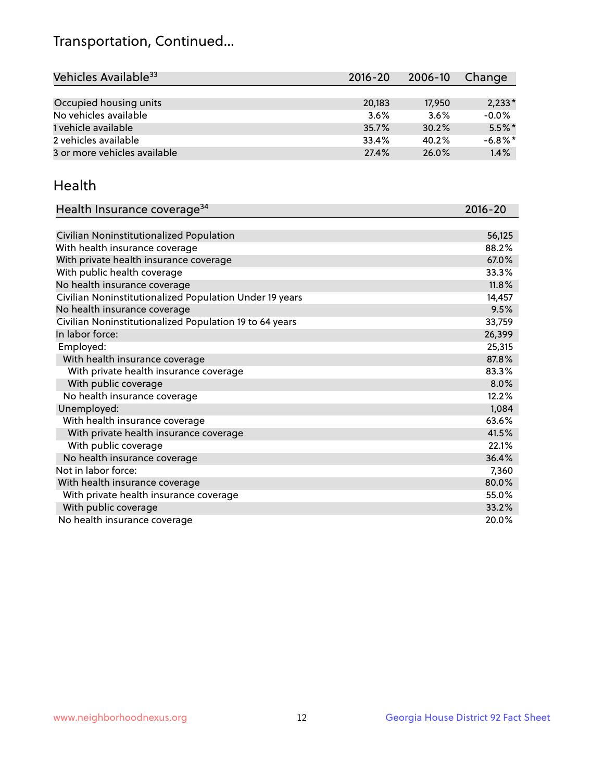## Transportation, Continued...

| Vehicles Available <sup>33</sup> | $2016 - 20$ | 2006-10 | Change     |
|----------------------------------|-------------|---------|------------|
|                                  |             |         |            |
| Occupied housing units           | 20.183      | 17,950  | $2,233*$   |
| No vehicles available            | 3.6%        | 3.6%    | $-0.0%$    |
| 1 vehicle available              | 35.7%       | 30.2%   | $5.5\%$ *  |
| 2 vehicles available             | 33.4%       | 40.2%   | $-6.8\%$ * |
| 3 or more vehicles available     | 27.4%       | 26.0%   | 1.4%       |

#### Health

| Health Insurance coverage <sup>34</sup>                 | 2016-20 |
|---------------------------------------------------------|---------|
|                                                         |         |
| Civilian Noninstitutionalized Population                | 56,125  |
| With health insurance coverage                          | 88.2%   |
| With private health insurance coverage                  | 67.0%   |
| With public health coverage                             | 33.3%   |
| No health insurance coverage                            | 11.8%   |
| Civilian Noninstitutionalized Population Under 19 years | 14,457  |
| No health insurance coverage                            | 9.5%    |
| Civilian Noninstitutionalized Population 19 to 64 years | 33,759  |
| In labor force:                                         | 26,399  |
| Employed:                                               | 25,315  |
| With health insurance coverage                          | 87.8%   |
| With private health insurance coverage                  | 83.3%   |
| With public coverage                                    | 8.0%    |
| No health insurance coverage                            | 12.2%   |
| Unemployed:                                             | 1,084   |
| With health insurance coverage                          | 63.6%   |
| With private health insurance coverage                  | 41.5%   |
| With public coverage                                    | 22.1%   |
| No health insurance coverage                            | 36.4%   |
| Not in labor force:                                     | 7,360   |
| With health insurance coverage                          | 80.0%   |
| With private health insurance coverage                  | 55.0%   |
| With public coverage                                    | 33.2%   |
| No health insurance coverage                            | 20.0%   |